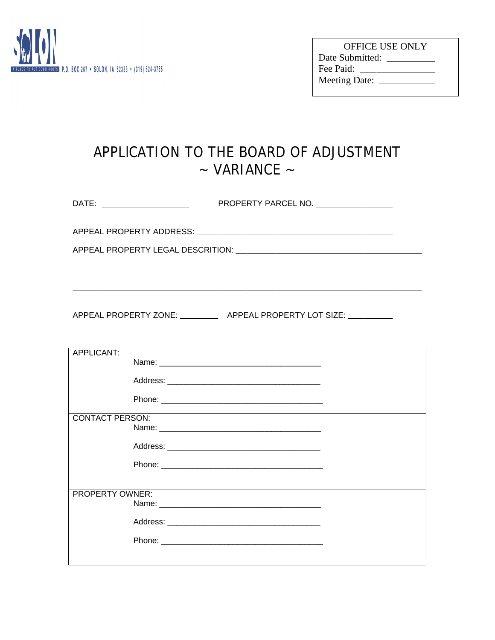

| <b>OFFICE USE ONLY</b> |  |
|------------------------|--|
| Date Submitted:        |  |
| Fee Paid:              |  |
| <b>Meeting Date:</b>   |  |

## APPLlCATION TO THE BOARD OF ADJUSTMENT  $\sim$  VARIANCE  $\sim$

| DATE: _________________________ | PROPERTY PARCEL NO. _________________                                    |
|---------------------------------|--------------------------------------------------------------------------|
|                                 |                                                                          |
|                                 |                                                                          |
|                                 |                                                                          |
|                                 |                                                                          |
|                                 | APPEAL PROPERTY ZONE: ____________ APPEAL PROPERTY LOT SIZE: ___________ |

| APPLICANT:             |                                                                                  |  |
|------------------------|----------------------------------------------------------------------------------|--|
|                        |                                                                                  |  |
|                        |                                                                                  |  |
|                        |                                                                                  |  |
|                        |                                                                                  |  |
|                        |                                                                                  |  |
| <b>CONTACT PERSON:</b> | ,我们也不会有什么。""我们的人,我们也不会有什么?""我们的人,我们也不会有什么?""我们的人,我们也不会有什么?""我们的人,我们也不会有什么?""我们的人 |  |
|                        |                                                                                  |  |
|                        |                                                                                  |  |
|                        |                                                                                  |  |
|                        |                                                                                  |  |
|                        |                                                                                  |  |
|                        |                                                                                  |  |
|                        |                                                                                  |  |
|                        |                                                                                  |  |
|                        |                                                                                  |  |
| <b>PROPERTY OWNER:</b> |                                                                                  |  |
|                        |                                                                                  |  |
|                        |                                                                                  |  |
|                        |                                                                                  |  |
|                        |                                                                                  |  |
|                        |                                                                                  |  |
|                        |                                                                                  |  |
|                        |                                                                                  |  |
|                        |                                                                                  |  |
|                        |                                                                                  |  |
|                        |                                                                                  |  |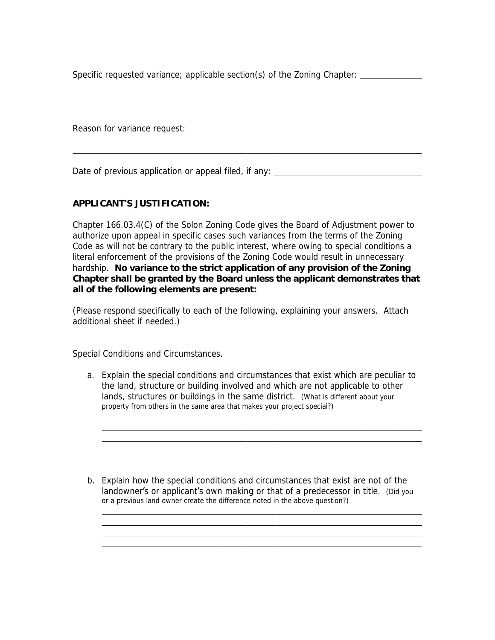Specific requested variance; applicable section(s) of the Zoning Chapter:

Reason for variance request:

 $\overline{a}$ 

 $\overline{a}$ 

Date of previous application or appeal filed, if any: \_\_\_\_\_\_\_\_\_\_\_\_\_\_\_\_\_\_\_\_\_\_\_\_\_\_

## **APPLICANT'S JUSTIFICATION:**

Chapter 166.03.4(C) of the Solon Zoning Code gives the Board of Adjustment power to authorize upon appeal in specific cases such variances from the terms of the Zoning Code as will not be contrary to the public interest, where owing to special conditions a literal enforcement of the provisions of the Zoning Code would result in unnecessary hardship. **No variance to the strict application of any provision of the Zoning Chapter shall be granted by the Board unless the applicant demonstrates that all of the following elements are present:** 

*(Please respond specifically to each of the following, explaining your answers. Attach additional sheet if needed.)*

Special Conditions and Circumstances.

 $\overline{a}$  $\overline{a}$  $\overline{a}$  $\overline{a}$ 

 $\overline{a}$  $\overline{a}$  $\overline{a}$  $\overline{a}$ 

- a. Explain the special conditions and circumstances that exist which are peculiar to the land, structure or building involved and which are not applicable to other lands, structures or buildings in the same district. *(What is different about your property from others in the same area that makes your project special?)*
- b. Explain how the special conditions and circumstances that exist are not of the landowner's or applicant's own making or that of a predecessor in title. *(Did you or a previous land owner create the difference noted in the above question?)*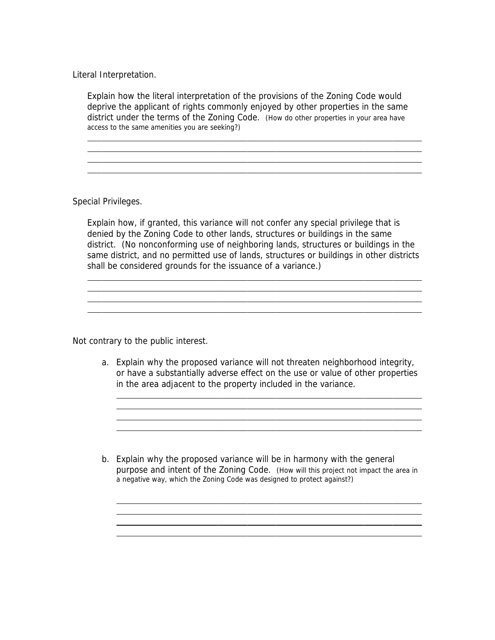Literal Interpretation.

Explain how the literal interpretation of the provisions of the Zoning Code would deprive the applicant of rights commonly enjoyed by other properties in the same district under the terms of the Zoning Code. *(How do other properties in your area have access to the same amenities you are seeking?)*

Special Privileges.

 $\overline{a}$  $\overline{a}$  $\overline{a}$  $\overline{a}$ 

 $\overline{a}$  $\overline{a}$  $\overline{a}$  $\overline{a}$ 

Explain how, if granted, this variance will not confer any special privilege that is denied by the Zoning Code to other lands, structures or buildings in the same district. (*No nonconforming use of neighboring lands, structures or buildings in the same district, and no permitted use of lands, structures or buildings in other districts shall be considered grounds for the issuance of a variance.)*

Not contrary to the public interest.

 $\overline{a}$  $\overline{a}$  $\overline{a}$  $\overline{a}$ 

 $\overline{a}$  $\overline{a}$  $\overline{a}$  $\overline{a}$ 

a. Explain why the proposed variance will not threaten neighborhood integrity, or have a substantially adverse effect on the use or value of other properties in the area adjacent to the property included in the variance.

b. Explain why the proposed variance will be in harmony with the general purpose and intent of the Zoning Code. *(How will this project not impact the area in a negative way, which the Zoning Code was designed to protect against?)*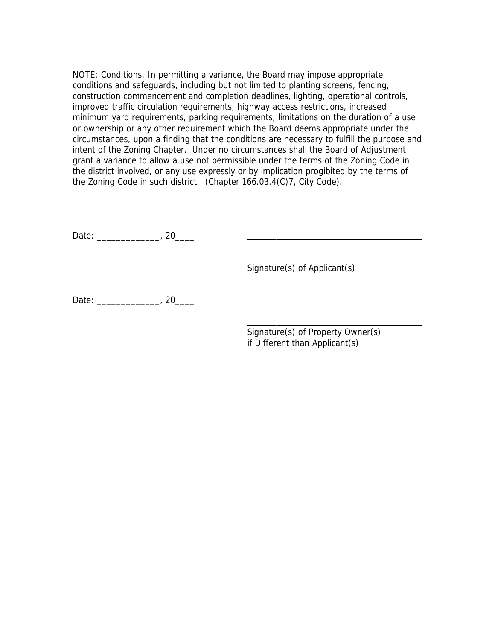NOTE: Conditions. In permitting a variance, the Board may impose appropriate conditions and safeguards, including but not limited to planting screens, fencing, construction commencement and completion deadlines, lighting, operational controls, improved traffic circulation requirements, highway access restrictions, increased minimum yard requirements, parking requirements, limitations on the duration of a use or ownership or any other requirement which the Board deems appropriate under the circumstances, upon a finding that the conditions are necessary to fulfill the purpose and intent of the Zoning Chapter. Under no circumstances shall the Board of Adjustment grant a variance to allow a use not permissible under the terms of the Zoning Code in the district involved, or any use expressly or by implication progibited by the terms of the Zoning Code in such district. (Chapter 166.03.4(C)7, City Code).

 $\overline{a}$ 

Date: \_\_\_\_\_\_\_\_\_\_\_\_\_\_, 20\_\_\_\_\_

 $\overline{a}$ Signature(s) of Applicant(s)

Date: \_\_\_\_\_\_\_\_\_\_\_\_\_, 20\_\_\_\_\_

Signature(s) of Property Owner(s) if Different than Applicant(s)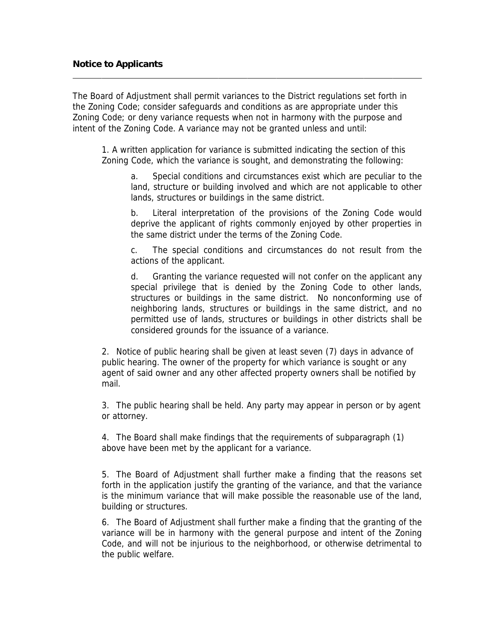$\overline{a}$ 

The Board of Adjustment shall permit variances to the District regulations set forth in the Zoning Code; consider safeguards and conditions as are appropriate under this Zoning Code; or deny variance requests when not in harmony with the purpose and intent of the Zoning Code. A variance may not be granted unless and until:

1. A written application for variance is submitted indicating the section of this Zoning Code, which the variance is sought, and demonstrating the following:

a. Special conditions and circumstances exist which are peculiar to the land, structure or building involved and which are not applicable to other lands, structures or buildings in the same district.

b. Literal interpretation of the provisions of the Zoning Code would deprive the applicant of rights commonly enjoyed by other properties in the same district under the terms of the Zoning Code.

c. The special conditions and circumstances do not result from the actions of the applicant.

d. Granting the variance requested will not confer on the applicant any special privilege that is denied by the Zoning Code to other lands, structures or buildings in the same district. No nonconforming use of neighboring lands, structures or buildings in the same district, and no permitted use of lands, structures or buildings in other districts shall be considered grounds for the issuance of a variance.

2. Notice of public hearing shall be given at least seven (7) days in advance of public hearing. The owner of the property for which variance is sought or any agent of said owner and any other affected property owners shall be notified by mail.

3. The public hearing shall be held. Any party may appear in person or by agent or attorney.

4. The Board shall make findings that the requirements of subparagraph (1) above have been met by the applicant for a variance.

5. The Board of Adjustment shall further make a finding that the reasons set forth in the application justify the granting of the variance, and that the variance is the minimum variance that will make possible the reasonable use of the land, building or structures.

6. The Board of Adjustment shall further make a finding that the granting of the variance will be in harmony with the general purpose and intent of the Zoning Code, and will not be injurious to the neighborhood, or otherwise detrimental to the public welfare.